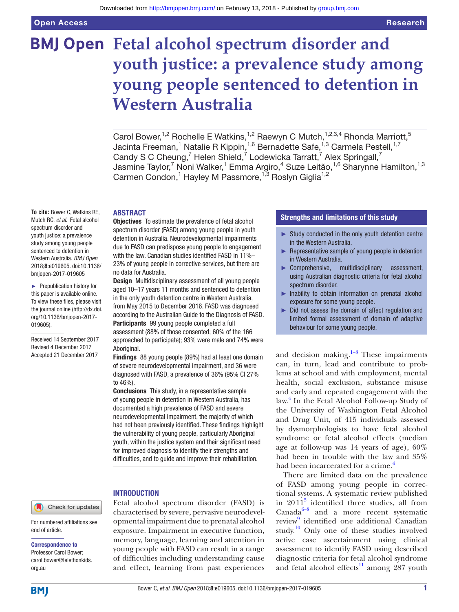# **BMJ Open Fetal alcohol spectrum disorder and youth justice: a prevalence study among young people sentenced to detention in Western Australia**

Carol Bower,<sup>1,2</sup> Rochelle E Watkins,<sup>1,2</sup> Raewyn C Mutch,<sup>1,2,3,4</sup> Rhonda Marriott,<sup>5</sup> Jacinta Freeman,<sup>1</sup> Natalie R Kippin,<sup>1,6</sup> Bernadette Safe,<sup>1,3</sup> Carmela Pestell,<sup>1,7</sup> Candy S C Cheung,<sup>7</sup> Helen Shield,<sup>7</sup> Lodewicka Tarratt,<sup>7</sup> Alex Springall,<sup>7</sup> Jasmine Taylor,<sup>7</sup> Noni Walker,<sup>1</sup> Emma Argiro,<sup>4</sup> Suze Leitão,<sup>1,6</sup> Sharynne Hamilton,<sup>1,3</sup> Carmen Condon,<sup>1</sup> Hayley M Passmore,<sup>1,3</sup> Roslyn Giglia<sup>1,2</sup>

#### **ABSTRACT**

**To cite:** Bower C, Watkins RE, Mutch RC, *et al*. Fetal alcohol spectrum disorder and youth justice: a prevalence study among young people sentenced to detention in Western Australia. *BMJ Open* 2018;8:e019605. doi:10.1136/ bmjopen-2017-019605

► Prepublication history for this paper is available online. To view these files, please visit the journal online [\(http://dx.doi.](http://dx.doi.org/10.1136/bmjopen-2017-019605) [org/10.1136/bmjopen-2017-](http://dx.doi.org/10.1136/bmjopen-2017-019605) [019605\)](http://dx.doi.org/10.1136/bmjopen-2017-019605).

Received 14 September 2017 Revised 4 December 2017 Accepted 21 December 2017

**Objectives** To estimate the prevalence of fetal alcohol spectrum disorder (FASD) among young people in youth detention in Australia. Neurodevelopmental impairments due to FASD can predispose young people to engagement with the law. Canadian studies identified FASD in 11%– 23% of young people in corrective services, but there are no data for Australia.

Design Multidisciplinary assessment of all young people aged 10–17 years 11 months and sentenced to detention in the only youth detention centre in Western Australia, from May 2015 to December 2016. FASD was diagnosed according to the Australian Guide to the Diagnosis of FASD. Participants 99 young people completed a full assessment (88% of those consented; 60% of the 166 approached to participate); 93% were male and 74% were Aboriginal.

Findings 88 young people (89%) had at least one domain of severe neurodevelopmental impairment, and 36 were diagnosed with FASD, a prevalence of 36% (95% CI 27% to 46%).

Conclusions This study, in a representative sample of young people in detention in Western Australia, has documented a high prevalence of FASD and severe neurodevelopmental impairment, the majority of which had not been previously identified. These findings highlight the vulnerability of young people, particularly Aboriginal youth, within the justice system and their significant need for improved diagnosis to identify their strengths and difficulties, and to guide and improve their rehabilitation.

#### **INTRODUCTION**

Fetal alcohol spectrum disorder (FASD) is characterised by severe, pervasive neurodevelopmental impairment due to prenatal alcohol exposure. Impairment in executive function, memory, language, learning and attention in young people with FASD can result in a range of difficulties including understanding cause and effect, learning from past experiences

# Strengths and limitations of this study

- ► Study conducted in the only youth detention centre in the Western Australia.
- ► Representative sample of young people in detention in Western Australia.
- ► Comprehensive, multidisciplinary assessment, using Australian diagnostic criteria for fetal alcohol spectrum disorder.
- ► Inability to obtain information on prenatal alcohol exposure for some young people.
- ► Did not assess the domain of affect regulation and limited formal assessment of domain of adaptive behaviour for some young people.

and decision making. $1-3$  These impairments can, in turn, lead and contribute to problems at school and with employment, mental health, social exclusion, substance misuse and early and repeated engagement with the law.[4](#page-8-1) In the Fetal Alcohol Follow-up Study of the University of Washington Fetal Alcohol and Drug Unit, of 415 individuals assessed by dysmorphologists to have fetal alcohol syndrome or fetal alcohol effects (median age at follow-up was 14 years of age), 60% had been in trouble with the law and 35% had been incarcerated for a crime.<sup>[4](#page-8-1)</sup>

There are limited data on the prevalence of FASD among young people in correctional systems. A systematic review published in 2011[5](#page-8-2) identified three studies, all from Canada $6-8$  and a more recent systematic review<sup>[9](#page-8-4)</sup> identified one additional Canadian study.[10](#page-8-5) Only one of these studies involved active case ascertainment using clinical assessment to identify FASD using described diagnostic criteria for fetal alcohol syndrome and fetal alcohol effects<sup>11</sup> among  $287$  youth

Check for updates

For numbered affiliations see end of article.

#### Correspondence to

Professor Carol Bower; carol.bower@telethonkids. org.au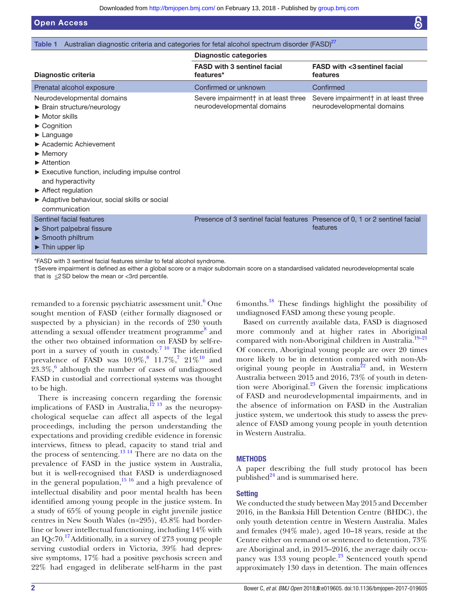<span id="page-1-0"></span>

| Australian diagnostic criteria and categories for fetal alcohol spectrum disorder (FASD) <sup>27</sup><br>Table 1                                                                                                                                                                                                                                                                                                                                                 |                                                                              |                                                                    |  |
|-------------------------------------------------------------------------------------------------------------------------------------------------------------------------------------------------------------------------------------------------------------------------------------------------------------------------------------------------------------------------------------------------------------------------------------------------------------------|------------------------------------------------------------------------------|--------------------------------------------------------------------|--|
|                                                                                                                                                                                                                                                                                                                                                                                                                                                                   | <b>Diagnostic categories</b>                                                 |                                                                    |  |
| Diagnostic criteria                                                                                                                                                                                                                                                                                                                                                                                                                                               | <b>FASD with 3 sentinel facial</b><br>features*                              | <b>FASD with &lt;3 sentinel facial</b><br>features                 |  |
| Prenatal alcohol exposure                                                                                                                                                                                                                                                                                                                                                                                                                                         | Confirmed or unknown                                                         | Confirmed                                                          |  |
| Neurodevelopmental domains<br>$\triangleright$ Brain structure/neurology<br>$\blacktriangleright$ Motor skills<br>$\blacktriangleright$ Cognition<br>$\blacktriangleright$ Language<br>▶ Academic Achievement<br>$\blacktriangleright$ Memory<br>$\blacktriangleright$ Attention<br>Executive function, including impulse control<br>and hyperactivity<br>$\blacktriangleright$ Affect regulation<br>Adaptive behaviour, social skills or social<br>communication | Severe impairment† in at least three<br>neurodevelopmental domains           | Severe impairment† in at least three<br>neurodevelopmental domains |  |
| Sentinel facial features<br>$\triangleright$ Short palpebral fissure<br>$\triangleright$ Smooth philtrum<br>$\blacktriangleright$ Thin upper lip                                                                                                                                                                                                                                                                                                                  | Presence of 3 sentinel facial features Presence of 0, 1 or 2 sentinel facial | features                                                           |  |

\*FASD with 3 sentinel facial features similar to fetal alcohol syndrome.

†Severe impairment is defined as either a global score or a major subdomain score on a standardised validated neurodevelopmental scale that is  $\leq$ 2SD below the mean or <3rd percentile.

remanded to a forensic psychiatric assessment unit.<sup>6</sup> One sought mention of FASD (either formally diagnosed or suspected by a physician) in the records of 230 youth attending a sexual offender treatment programme<sup>[8](#page-8-7)</sup> and the other two obtained information on FASD by self-report in a survey of youth in custody.<sup>7 10</sup> The identified prevalence of FASD was  $10.9\%$ ,  $11.7\%$  $11.7\%$  $11.7\%$ ,  $7.21\%$ <sup>10</sup> and  $23.3\%$ , although the number of cases of undiagnosed FASD in custodial and correctional systems was thought to be high.

There is increasing concern regarding the forensic implications of FASD in Australia,<sup>12 13</sup> as the neuropsychological sequelae can affect all aspects of the legal proceedings, including the person understanding the expectations and providing credible evidence in forensic interviews, fitness to plead, capacity to stand trial and the process of sentencing.<sup>13 14</sup> There are no data on the prevalence of FASD in the justice system in Australia, but it is well-recognised that FASD is underdiagnosed in the general population, $1516$  and a high prevalence of intellectual disability and poor mental health has been identified among young people in the justice system. In a study of 65% of young people in eight juvenile justice centres in New South Wales (n=295), 45.8% had borderline or lower intellectual functioning, including 14% with an IQ<70.<sup>[17](#page-8-12)</sup>Additionally, in a survey of 273 young people serving custodial orders in Victoria, 39% had depressive symptoms, 17% had a positive psychosis screen and 22% had engaged in deliberate self-harm in the past 6months.[18](#page-8-13) These findings highlight the possibility of undiagnosed FASD among these young people.

Based on currently available data, FASD is diagnosed more commonly and at higher rates in Aboriginal compared with non-Aboriginal children in Australia.<sup>[19–21](#page-8-14)</sup> Of concern, Aboriginal young people are over 20 times more likely to be in detention compared with non-Aboriginal young people in Australia<sup>22</sup> and, in Western Australia between 2015 and 2016, 73% of youth in detention were Aboriginal. $^{23}$  Given the forensic implications of FASD and neurodevelopmental impairments, and in the absence of information on FASD in the Australian justice system, we undertook this study to assess the prevalence of FASD among young people in youth detention in Western Australia.

# **METHODS**

A paper describing the full study protocol has been published $^{24}$  and is summarised here.

# **Setting**

We conducted the study between May 2015 and December 2016, in the Banksia Hill Detention Centre (BHDC), the only youth detention centre in Western Australia. Males and females (94% male), aged 10–18 years, reside at the Centre either on remand or sentenced to detention, 73% are Aboriginal and, in 2015–2016, the average daily occupancy was 133 young people.<sup>23</sup> Sentenced youth spend approximately 130 days in detention. The main offences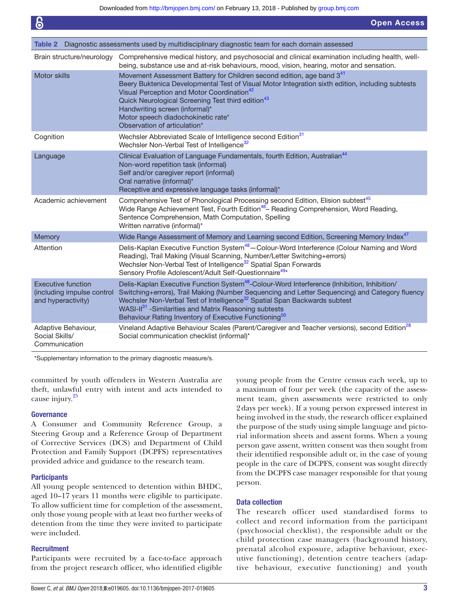<span id="page-2-0"></span>

| Table 2                                                                       | Diagnostic assessments used by multidisciplinary diagnostic team for each domain assessed                                                                                                                                                                                                                                                                                                                                                    |
|-------------------------------------------------------------------------------|----------------------------------------------------------------------------------------------------------------------------------------------------------------------------------------------------------------------------------------------------------------------------------------------------------------------------------------------------------------------------------------------------------------------------------------------|
| Brain structure/neurology                                                     | Comprehensive medical history, and psychosocial and clinical examination including health, well-<br>being, substance use and at-risk behaviours, mood, vision, hearing, motor and sensation.                                                                                                                                                                                                                                                 |
| Motor skills                                                                  | Movement Assessment Battery for Children second edition, age band 341<br>Beery Buktenica Developmental Test of Visual Motor Integration sixth edition, including subtests<br>Visual Perception and Motor Coordination <sup>42</sup><br>Quick Neurological Screening Test third edition <sup>43</sup><br>Handwriting screen (informal)*<br>Motor speech diadochokinetic rate*<br>Observation of articulation*                                 |
| Cognition                                                                     | Wechsler Abbreviated Scale of Intelligence second Edition <sup>31</sup><br>Wechsler Non-Verbal Test of Intelligence <sup>32</sup>                                                                                                                                                                                                                                                                                                            |
| Language                                                                      | Clinical Evaluation of Language Fundamentals, fourth Edition, Australian <sup>44</sup><br>Non-word repetition task (informal)<br>Self and/or caregiver report (informal)<br>Oral narrative (informal)*<br>Receptive and expressive language tasks (informal)*                                                                                                                                                                                |
| Academic achievement                                                          | Comprehensive Test of Phonological Processing second Edition, Elision subtest <sup>45</sup><br>Wide Range Achievement Test, Fourth Edition <sup>46</sup> Reading Comprehension, Word Reading,<br>Sentence Comprehension, Math Computation, Spelling<br>Written narrative (informal)*                                                                                                                                                         |
| Memory                                                                        | Wide Range Assessment of Memory and Learning second Edition, Screening Memory Index <sup>47</sup>                                                                                                                                                                                                                                                                                                                                            |
| Attention                                                                     | Delis-Kaplan Executive Function System <sup>48</sup> - Colour-Word Interference (Colour Naming and Word<br>Reading), Trail Making (Visual Scanning, Number/Letter Switching+errors)<br>Wechsler Non-Verbal Test of Intelligence <sup>32</sup> Spatial Span Forwards<br>Sensory Profile Adolescent/Adult Self-Questionnaire <sup>49*</sup>                                                                                                    |
| <b>Executive function</b><br>(including impulse control<br>and hyperactivity) | Delis-Kaplan Executive Function System <sup>48</sup> -Colour-Word Interference (Inhibition, Inhibition/<br>Switching+errors), Trail Making (Number Sequencing and Letter Sequencing) and Category fluency<br>Wechsler Non-Verbal Test of Intelligence <sup>32</sup> Spatial Span Backwards subtest<br>WASI-II <sup>31</sup> -Similarities and Matrix Reasoning subtests<br>Behaviour Rating Inventory of Executive Functioning <sup>50</sup> |
| Adaptive Behaviour,<br>Social Skills/<br>Communication                        | Vineland Adaptive Behaviour Scales (Parent/Caregiver and Teacher versions), second Edition <sup>28</sup><br>Social communication checklist (informal)*                                                                                                                                                                                                                                                                                       |

\*Supplementary information to the primary diagnostic measure/s.

committed by youth offenders in Western Australia are theft, unlawful entry with intent and acts intended to cause injury.<sup>[25](#page-8-19)</sup>

#### **Governance**

A Consumer and Community Reference Group, a Steering Group and a Reference Group of Department of Corrective Services (DCS) and Department of Child Protection and Family Support (DCPFS) representatives provided advice and guidance to the research team.

#### **Participants**

All young people sentenced to detention within BHDC, aged 10–17 years 11 months were eligible to participate. To allow sufficient time for completion of the assessment, only those young people with at least two further weeks of detention from the time they were invited to participate were included.

#### **Recruitment**

Participants were recruited by a face-to-face approach from the project research officer, who identified eligible young people from the Centre census each week, up to a maximum of four per week (the capacity of the assessment team, given assessments were restricted to only 2days per week). If a young person expressed interest in being involved in the study, the research officer explained the purpose of the study using simple language and pictorial information sheets and assent forms. When a young person gave assent, written consent was then sought from their identified responsible adult or, in the case of young people in the care of DCPFS, consent was sought directly from the DCPFS case manager responsible for that young person.

# Data collection

The research officer used standardised forms to collect and record information from the participant (psychosocial checklist), the responsible adult or the child protection case managers (background history, prenatal alcohol exposure, adaptive behaviour, executive functioning), detention centre teachers (adaptive behaviour, executive functioning) and youth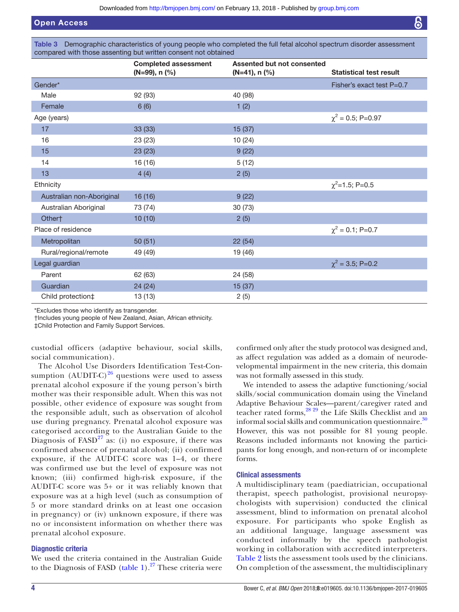<span id="page-3-0"></span>Table 3 Demographic characteristics of young people who completed the full fetal alcohol spectrum disorder assessment compared with those assenting but written consent not obtained

|                           | <b>Completed assessment</b><br>$(N=99)$ , n $(\%)$ | Assented but not consented<br>$(N=41)$ , n $(\%)$ | <b>Statistical test result</b> |
|---------------------------|----------------------------------------------------|---------------------------------------------------|--------------------------------|
| Gender*                   |                                                    |                                                   | Fisher's exact test $P=0.7$    |
| Male                      | 92 (93)                                            | 40 (98)                                           |                                |
| Female                    | 6(6)                                               | 1(2)                                              |                                |
| Age (years)               |                                                    |                                                   | $\chi^2$ = 0.5; P=0.97         |
| 17                        | 33 (33)                                            | 15(37)                                            |                                |
| 16                        | 23 (23)                                            | 10 (24)                                           |                                |
| 15                        | 23(23)                                             | 9(22)                                             |                                |
| 14                        | 16 (16)                                            | 5(12)                                             |                                |
| 13                        | 4(4)                                               | 2(5)                                              |                                |
| Ethnicity                 |                                                    |                                                   | $\chi^2$ =1.5; P=0.5           |
| Australian non-Aboriginal | 16(16)                                             | 9(22)                                             |                                |
| Australian Aboriginal     | 73 (74)                                            | 30 (73)                                           |                                |
| Other†                    | 10(10)                                             | 2(5)                                              |                                |
| Place of residence        |                                                    |                                                   | $\chi^2$ = 0.1; P=0.7          |
| Metropolitan              | 50(51)                                             | 22(54)                                            |                                |
| Rural/regional/remote     | 49 (49)                                            | 19 (46)                                           |                                |
| Legal guardian            |                                                    |                                                   | $\chi^2$ = 3.5; P=0.2          |
| Parent                    | 62 (63)                                            | 24 (58)                                           |                                |
| Guardian                  | 24(24)                                             | 15(37)                                            |                                |
| Child protection‡         | 13 (13)                                            | 2(5)                                              |                                |

\*Excludes those who identify as transgender.

†Includes young people of New Zealand, Asian, African ethnicity.

‡Child Protection and Family Support Services.

custodial officers (adaptive behaviour, social skills, social communication).

The Alcohol Use Disorders Identification Test-Consumption (AUDIT-C) $^{26}$  questions were used to assess prenatal alcohol exposure if the young person's birth mother was their responsible adult. When this was not possible, other evidence of exposure was sought from the responsible adult, such as observation of alcohol use during pregnancy. Prenatal alcohol exposure was categorised according to the Australian Guide to the Diagnosis of  $FASD<sup>27</sup>$  $FASD<sup>27</sup>$  $FASD<sup>27</sup>$  as: (i) no exposure, if there was confirmed absence of prenatal alcohol; (ii) confirmed exposure, if the AUDIT-C score was 1–4, or there was confirmed use but the level of exposure was not known; (iii) confirmed high-risk exposure, if the AUDIT-C score was 5+ or it was reliably known that exposure was at a high level (such as consumption of 5 or more standard drinks on at least one occasion in pregnancy) or (iv) unknown exposure, if there was no or inconsistent information on whether there was prenatal alcohol exposure.

# Diagnostic criteria

We used the criteria contained in the Australian Guide to the Diagnosis of FASD ([table](#page-1-0) 1). $^{27}$  $^{27}$  $^{27}$  These criteria were

confirmed only after the study protocol was designed and, as affect regulation was added as a domain of neurodevelopmental impairment in the new criteria, this domain was not formally assessed in this study.

We intended to assess the adaptive functioning/social skills/social communication domain using the Vineland Adaptive Behaviour Scales—parent/caregiver rated and teacher rated forms,<sup>28 29</sup> the Life Skills Checklist and an informal social skills and communication questionnaire. $30$ However, this was not possible for 81 young people. Reasons included informants not knowing the participants for long enough, and non-return of or incomplete forms.

#### Clinical assessments

A multidisciplinary team (paediatrician, occupational therapist, speech pathologist, provisional neuropsychologists with supervision) conducted the clinical assessment, blind to information on prenatal alcohol exposure. For participants who spoke English as an additional language, language assessment was conducted informally by the speech pathologist working in collaboration with accredited interpreters. [Table](#page-2-0) 2 lists the assessment tools used by the clinicians. On completion of the assessment, the multidisciplinary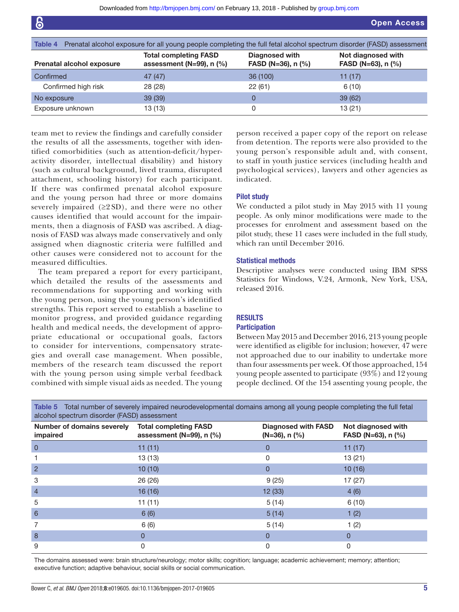<span id="page-4-0"></span>

| Table 4 Prenatal alcohol exposure for all young people completing the full fetal alcohol spectrum disorder (FASD) assessment |                                                            |                                      |                                            |
|------------------------------------------------------------------------------------------------------------------------------|------------------------------------------------------------|--------------------------------------|--------------------------------------------|
| <b>Prenatal alcohol exposure</b>                                                                                             | <b>Total completing FASD</b><br>assessment (N=99), $n$ (%) | Diagnosed with<br>FASD (N=36), n (%) | Not diagnosed with<br>FASD (N=63), $n$ (%) |
| Confirmed                                                                                                                    | 47 (47)                                                    | 36 (100)                             | 11(17)                                     |
| Confirmed high risk                                                                                                          | 28 (28)                                                    | 22(61)                               | 6(10)                                      |
| No exposure                                                                                                                  | 39(39)                                                     |                                      | 39(62)                                     |
| Exposure unknown                                                                                                             | 13 (13)                                                    | 0                                    | 13(21)                                     |

team met to review the findings and carefully consider the results of all the assessments, together with identified comorbidities (such as attention-deficit/hyperactivity disorder, intellectual disability) and history (such as cultural background, lived trauma, disrupted attachment, schooling history) for each participant. If there was confirmed prenatal alcohol exposure and the young person had three or more domains severely impaired  $(≥2 SD)$ , and there were no other causes identified that would account for the impairments, then a diagnosis of FASD was ascribed. A diagnosis of FASD was always made conservatively and only assigned when diagnostic criteria were fulfilled and other causes were considered not to account for the measured difficulties.

The team prepared a report for every participant, which detailed the results of the assessments and recommendations for supporting and working with the young person, using the young person's identified strengths. This report served to establish a baseline to monitor progress, and provided guidance regarding health and medical needs, the development of appropriate educational or occupational goals, factors to consider for interventions, compensatory strategies and overall case management. When possible, members of the research team discussed the report with the young person using simple verbal feedback combined with simple visual aids as needed. The young

person received a paper copy of the report on release from detention. The reports were also provided to the young person's responsible adult and, with consent, to staff in youth justice services (including health and psychological services), lawyers and other agencies as indicated.

# Pilot study

We conducted a pilot study in May 2015 with 11 young people. As only minor modifications were made to the processes for enrolment and assessment based on the pilot study, these 11 cases were included in the full study, which ran until December 2016.

#### Statistical methods

Descriptive analyses were conducted using IBM SPSS Statistics for Windows, V.24, Armonk, New York, USA, released 2016.

# **RESULTS**

#### **Participation**

Between May 2015 and December 2016, 213 young people were identified as eligible for inclusion; however, 47 were not approached due to our inability to undertake more than four assessments per week. Of those approached, 154 young people assented to participate (93%) and 12 young people declined. Of the 154 assenting young people, the

<span id="page-4-1"></span>Table 5 Total number of severely impaired neurodevelopmental domains among all young people completing the full fetal alcohol spectrum disorder (FASD) assessment

| Number of domains severely<br>impaired | <b>Total completing FASD</b><br>assessment ( $N=99$ ), n (%) | <b>Diagnosed with FASD</b><br>$(N=36)$ , n $(\% )$ | Not diagnosed with<br>FASD (N=63), n (%) |
|----------------------------------------|--------------------------------------------------------------|----------------------------------------------------|------------------------------------------|
| $\overline{0}$                         | 11(11)                                                       | 0                                                  | 11(17)                                   |
|                                        | 13(13)                                                       | 0                                                  | 13(21)                                   |
| 2                                      | 10(10)                                                       | 0                                                  | 10(16)                                   |
| 3                                      | 26 (26)                                                      | 9(25)                                              | 17(27)                                   |
| $\overline{4}$                         | 16(16)                                                       | 12 (33)                                            | 4(6)                                     |
| 5                                      | 11(11)                                                       | 5(14)                                              | 6(10)                                    |
| 6                                      | 6(6)                                                         | 5(14)                                              | 1(2)                                     |
| 7                                      | 6(6)                                                         | 5(14)                                              | 1(2)                                     |
| 8                                      | 0                                                            | $\mathbf 0$                                        | 0                                        |
| 9                                      | 0                                                            | 0                                                  | 0                                        |

The domains assessed were: brain structure/neurology; motor skills; cognition; language; academic achievement; memory; attention; executive function; adaptive behaviour, social skills or social communication.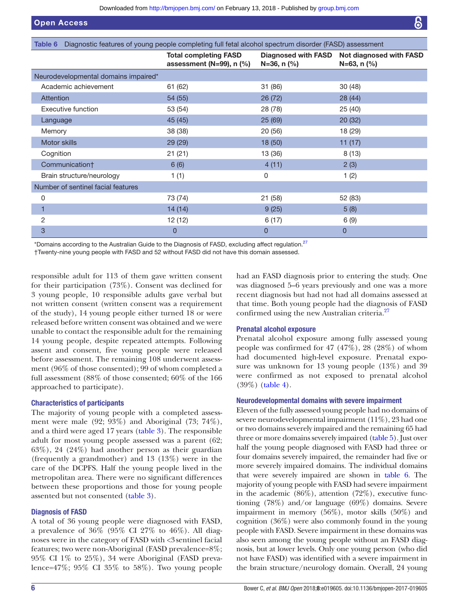<span id="page-5-0"></span>

| Diagnostic features of young people completing full fetal alcohol spectrum disorder (FASD) assessment<br>Table 6 |                                                            |                    |                                                                   |
|------------------------------------------------------------------------------------------------------------------|------------------------------------------------------------|--------------------|-------------------------------------------------------------------|
|                                                                                                                  | <b>Total completing FASD</b><br>assessment (N=99), $n$ (%) | $N=36$ , n $(\% )$ | Diagnosed with FASD Not diagnosed with FASD<br>$N=63$ , n $(\% )$ |
| Neurodevelopmental domains impaired*                                                                             |                                                            |                    |                                                                   |
| Academic achievement                                                                                             | 61 (62)                                                    | 31 (86)            | 30(48)                                                            |
| <b>Attention</b>                                                                                                 | 54 (55)                                                    | 26 (72)            | 28 (44)                                                           |
| Executive function                                                                                               | 53 (54)                                                    | 28 (78)            | 25 (40)                                                           |
| Language                                                                                                         | 45 (45)                                                    | 25(69)             | 20(32)                                                            |
| Memory                                                                                                           | 38 (38)                                                    | 20 (56)            | 18 (29)                                                           |
| Motor skills                                                                                                     | 29 (29)                                                    | 18 (50)            | 11(17)                                                            |
| Cognition                                                                                                        | 21(21)                                                     | 13 (36)            | 8(13)                                                             |
| Communication†                                                                                                   | 6(6)                                                       | 4(11)              | 2(3)                                                              |
| Brain structure/neurology                                                                                        | 1(1)                                                       | 0                  | 1(2)                                                              |
| Number of sentinel facial features                                                                               |                                                            |                    |                                                                   |
| 0                                                                                                                | 73 (74)                                                    | 21 (58)            | 52 (83)                                                           |
| 1                                                                                                                | 14(14)                                                     | 9(25)              | 5(8)                                                              |
| 2                                                                                                                | 12 (12)                                                    | 6(17)              | 6(9)                                                              |
| 3                                                                                                                | $\overline{0}$                                             | $\overline{0}$     | $\overline{0}$                                                    |

\*Domains according to the Australian Guide to the Diagnosis of FASD, excluding affect regulation.<sup>27</sup>

†Twenty-nine young people with FASD and 52 without FASD did not have this domain assessed.

responsible adult for 113 of them gave written consent for their participation (73%). Consent was declined for 3 young people, 10 responsible adults gave verbal but not written consent (written consent was a requirement of the study), 14 young people either turned 18 or were released before written consent was obtained and we were unable to contact the responsible adult for the remaining 14 young people, despite repeated attempts. Following assent and consent, five young people were released before assessment. The remaining 108 underwent assessment (96% of those consented); 99 of whom completed a full assessment (88% of those consented; 60% of the 166 approached to participate).

# Characteristics of participants

The majority of young people with a completed assessment were male (92; 93%) and Aboriginal (73; 74%), and a third were aged 17 years ([table](#page-3-0) 3). The responsible adult for most young people assessed was a parent (62; 63%), 24 (24%) had another person as their guardian (frequently a grandmother) and 13 (13%) were in the care of the DCPFS. Half the young people lived in the metropolitan area. There were no significant differences between these proportions and those for young people assented but not consented [\(table](#page-3-0) 3).

# Diagnosis of FASD

A total of 36 young people were diagnosed with FASD, a prevalence of 36% (95% CI 27% to 46%). All diagnoses were in the category of FASD with <3sentinel facial features; two were non-Aboriginal (FASD prevalence=8%; 95% CI 1% to 25%), 34 were Aboriginal (FASD prevalence=47%; 95% CI 35% to 58%). Two young people

had an FASD diagnosis prior to entering the study. One was diagnosed 5–6 years previously and one was a more recent diagnosis but had not had all domains assessed at that time. Both young people had the diagnosis of FASD confirmed using the new Australian criteria.<sup>[27](#page-8-18)</sup>

# Prenatal alcohol exposure

Prenatal alcohol exposure among fully assessed young people was confirmed for  $47$   $(47\%)$ ,  $28$   $(28\%)$  of whom had documented high-level exposure. Prenatal exposure was unknown for 13 young people (13%) and 39 were confirmed as not exposed to prenatal alcohol (39%) [\(table](#page-4-0) 4).

#### Neurodevelopmental domains with severe impairment

Eleven of the fully assessed young people had no domains of severe neurodevelopmental impairment (11%), 23 had one or two domains severely impaired and the remaining 65 had three or more domains severely impaired [\(table](#page-4-1) 5). Just over half the young people diagnosed with FASD had three or four domains severely impaired, the remainder had five or more severely impaired domains. The individual domains that were severely impaired are shown in [table](#page-5-0) 6. The majority of young people with FASD had severe impairment in the academic  $(86\%)$ , attention  $(72\%)$ , executive functioning (78%) and/or language (69%) domains. Severe impairment in memory (56%), motor skills (50%) and cognition (36%) were also commonly found in the young people with FASD. Severe impairment in these domains was also seen among the young people without an FASD diagnosis, but at lower levels. Only one young person (who did not have FASD) was identified with a severe impairment in the brain structure/neurology domain. Overall, 24 young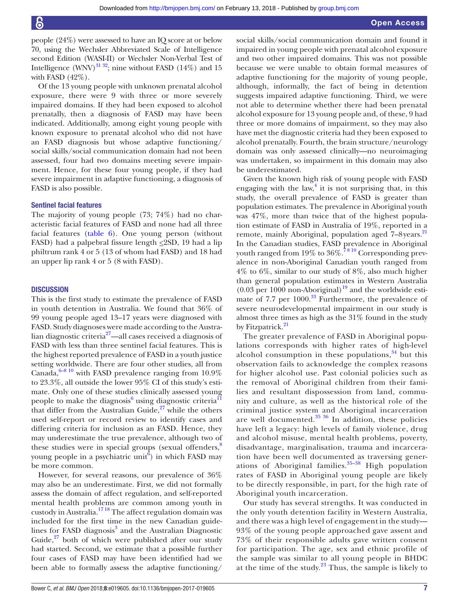people (24%) were assessed to have an IQ score at or below 70, using the Wechsler Abbreviated Scale of Intelligence second Edition (WASI-II) or Wechsler Non-Verbal Test of Intelligence (WNV) $^{31}$ <sup>32</sup>; nine without FASD (14%) and 15 with FASD (42%).

Of the 13 young people with unknown prenatal alcohol exposure, there were 9 with three or more severely impaired domains. If they had been exposed to alcohol prenatally, then a diagnosis of FASD may have been indicated. Additionally, among eight young people with known exposure to prenatal alcohol who did not have an FASD diagnosis but whose adaptive functioning/ social skills/social communication domain had not been assessed, four had two domains meeting severe impairment. Hence, for these four young people, if they had severe impairment in adaptive functioning, a diagnosis of FASD is also possible.

#### Sentinel facial features

The majority of young people (73; 74%) had no characteristic facial features of FASD and none had all three facial features ([table](#page-5-0) 6). One young person (without FASD) had a palpebral fissure length  $\leq$ 2SD, 19 had a lip philtrum rank 4 or 5 (13 of whom had FASD) and 18 had an upper lip rank 4 or 5 (8 with FASD).

#### **DISCUSSION**

This is the first study to estimate the prevalence of FASD in youth detention in Australia. We found that 36% of 99 young people aged 13–17 years were diagnosed with FASD. Study diagnoses were made according to the Australian diagnostic criteria<sup>27</sup>—all cases received a diagnosis of FASD with less than three sentinel facial features. This is the highest reported prevalence of FASD in a youth justice setting worldwide. There are four other studies, all from Canada, $6-8$ <sup>10</sup> with FASD prevalence ranging from  $10.9\%$ to 23.3%, all outside the lower 95% CI of this study's estimate. Only one of these studies clinically assessed young people to make the diagnosis<sup>[6](#page-8-3)</sup> using diagnostic criteria<sup>11</sup> that differ from the Australian Guide, $27$  while the others used self-report or record review to identify cases and differing criteria for inclusion as an FASD. Hence, they may underestimate the true prevalence, although two of these studies were in special groups (sexual offenders, $\frac{8}{3}$  $\frac{8}{3}$  $\frac{8}{3}$ ) young people in a psychiatric unit<sup> $6$ </sup>) in which FASD may be more common.

However, for several reasons, our prevalence of 36% may also be an underestimate. First, we did not formally assess the domain of affect regulation, and self-reported mental health problems are common among youth in custody in Australia[.17 18](#page-8-12) The affect regulation domain was included for the first time in the new Canadian guide-lines for FASD diagnosis<sup>[3](#page-8-25)</sup> and the Australian Diagnostic Guide, $^{27}$  both of which were published after our study had started. Second, we estimate that a possible further four cases of FASD may have been identified had we been able to formally assess the adaptive functioning/

social skills/social communication domain and found it impaired in young people with prenatal alcohol exposure and two other impaired domains. This was not possible because we were unable to obtain formal measures of adaptive functioning for the majority of young people, although, informally, the fact of being in detention suggests impaired adaptive functioning. Third, we were not able to determine whether there had been prenatal alcohol exposure for 13 young people and, of these, 9 had three or more domains of impairment, so they may also have met the diagnostic criteria had they been exposed to alcohol prenatally. Fourth, the brain structure/neurology domain was only assessed clinically—no neuroimaging was undertaken, so impairment in this domain may also be underestimated.

Given the known high risk of young people with FASD engaging with the law, $4$  it is not surprising that, in this study, the overall prevalence of FASD is greater than population estimates. The prevalence in Aboriginal youth was 47%, more than twice that of the highest population estimate of FASD in Australia of 19%, reported in a remote, mainly Aboriginal, population aged 7–8years.<sup>[21](#page-8-26)</sup> In the Canadian studies, FASD prevalence in Aboriginal youth ranged from 19% to  $36\%$ .<sup>7810</sup> Corresponding prevalence in non-Aboriginal Canadian youth ranged from 4% to 6%, similar to our study of 8%, also much higher than general population estimates in Western Australia  $(0.03 \,\mathrm{per}\,1000 \,\mathrm{non}\text{-}$ Aboriginal)<sup>19</sup> and the worldwide estimate of 7.7 per 1000.<sup>33</sup> Furthermore, the prevalence of severe neurodevelopmental impairment in our study is almost three times as high as the 31% found in the study by Fitzpatrick.<sup>[21](#page-8-26)</sup>

The greater prevalence of FASD in Aboriginal populations corresponds with higher rates of high-level alcohol consumption in these populations, $34$  but this observation fails to acknowledge the complex reasons for higher alcohol use. Past colonial policies such as the removal of Aboriginal children from their families and resultant dispossession from land, community and culture, as well as the historical role of the criminal justice system and Aboriginal incarceration are well documented. $35 \frac{36}{10}$  In addition, these policies have left a legacy: high levels of family violence, drug and alcohol misuse, mental health problems, poverty, disadvantage, marginalisation, trauma and incarceration have been well documented as traversing generations of Aboriginal families. $35-38$  High population rates of FASD in Aboriginal young people are likely to be directly responsible, in part, for the high rate of Aboriginal youth incarceration.

Our study has several strengths. It was conducted in the only youth detention facility in Western Australia, and there was a high level of engagement in the study— 93% of the young people approached gave assent and 73% of their responsible adults gave written consent for participation. The age, sex and ethnic profile of the sample was similar to all young people in BHDC at the time of the study. $23$  Thus, the sample is likely to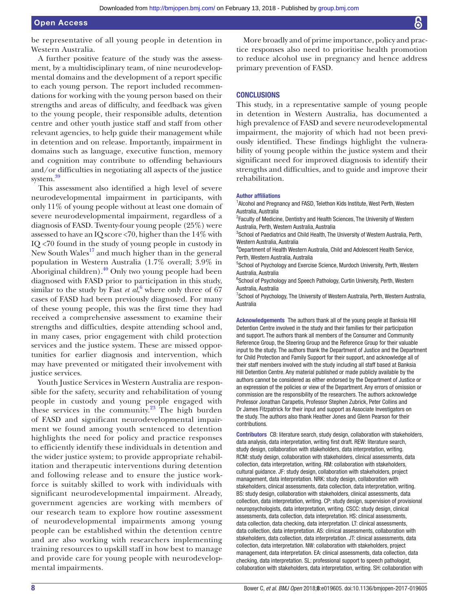be representative of all young people in detention in Western Australia.

A further positive feature of the study was the assessment, by a multidisciplinary team, of nine neurodevelopmental domains and the development of a report specific to each young person. The report included recommendations for working with the young person based on their strengths and areas of difficulty, and feedback was given to the young people, their responsible adults, detention centre and other youth justice staff and staff from other relevant agencies, to help guide their management while in detention and on release. Importantly, impairment in domains such as language, executive function, memory and cognition may contribute to offending behaviours and/or difficulties in negotiating all aspects of the justice system.<sup>[39](#page-9-10)</sup>

This assessment also identified a high level of severe neurodevelopmental impairment in participants, with only 11% of young people without at least one domain of severe neurodevelopmental impairment, regardless of a diagnosis of FASD. Twenty-four young people (25%) were assessed to have an IQ score <70, higher than the 14% with IQ <70 found in the study of young people in custody in New South Wales $^{17}$  and much higher than in the general population in Western Australia (1.7% overall; 3.9% in Aboriginal children). $40$  Only two young people had been diagnosed with FASD prior to participation in this study, similar to the study by Fast *et*  $aI$ , where only three of [6](#page-8-3)7 cases of FASD had been previously diagnosed. For many of these young people, this was the first time they had received a comprehensive assessment to examine their strengths and difficulties, despite attending school and, in many cases, prior engagement with child protection services and the justice system. These are missed opportunities for earlier diagnosis and intervention, which may have prevented or mitigated their involvement with justice services.

Youth Justice Services in Western Australia are responsible for the safety, security and rehabilitation of young people in custody and young people engaged with these services in the community. $^{23}$  The high burden of FASD and significant neurodevelopmental impairment we found among youth sentenced to detention highlights the need for policy and practice responses to efficiently identify these individuals in detention and the wider justice system; to provide appropriate rehabilitation and therapeutic interventions during detention and following release and to ensure the justice workforce is suitably skilled to work with individuals with significant neurodevelopmental impairment. Already, government agencies are working with members of our research team to explore how routine assessment of neurodevelopmental impairments among young people can be established within the detention centre and are also working with researchers implementing training resources to upskill staff in how best to manage and provide care for young people with neurodevelopmental impairments.

More broadly and of prime importance, policy and practice responses also need to prioritise health promotion to reduce alcohol use in pregnancy and hence address primary prevention of FASD.

#### **CONCLUSIONS**

This study, in a representative sample of young people in detention in Western Australia, has documented a high prevalence of FASD and severe neurodevelopmental impairment, the majority of which had not been previously identified. These findings highlight the vulnerability of young people within the justice system and their significant need for improved diagnosis to identify their strengths and difficulties, and to guide and improve their rehabilitation.

#### Author affiliations

<sup>1</sup> Alcohol and Pregnancy and FASD, Telethon Kids Institute, West Perth, Western Australia, Australia

<sup>2</sup> Faculty of Medicine, Dentistry and Health Sciences, The University of Western Australia, Perth, Western Australia, Australia

<sup>3</sup>School of Paediatrics and Child Health, The University of Western Australia, Perth, Western Australia, Australia

4 Department of Health Western Australia, Child and Adolescent Health Service, Perth, Western Australia, Australia

5 School of Psychology and Exercise Science, Murdoch University, Perth, Western Australia, Australia

<sup>6</sup>School of Psychology and Speech Pathology, Curtin University, Perth, Western Australia, Australia

<sup>7</sup> School of Psychology, The University of Western Australia, Perth, Western Australia, Australia

Acknowledgements The authors thank all of the young people at Banksia Hill Detention Centre involved in the study and their families for their participation and support. The authors thank all members of the Consumer and Community Reference Group, the Steering Group and the Reference Group for their valuable input to the study. The authors thank the Department of Justice and the Department for Child Protection and Family Support for their support, and acknowledge all of their staff members involved with the study including all staff based at Banksia Hill Detention Centre. Any material published or made publicly available by the authors cannot be considered as either endorsed by the Department of Justice or an expression of the policies or view of the Department. Any errors of omission or commission are the responsibility of the researchers. The authors acknowledge Professor Jonathan Carapetis, Professor Stephen Zubrick, Peter Collins and Dr James Fitzpatrick for their input and support as Associate Investigators on the study. The authors also thank Heather Jones and Glenn Pearson for their contributions.

Contributors CB: literature search, study design, collaboration with stakeholders, data analysis, data interpretation, writing first draft. REW: literature search, study design, collaboration with stakeholders, data interpretation, writing. RCM: study design, collaboration with stakeholders, clinical assessments, data collection, data interpretation, writing. RM: collaboration with stakeholders, cultural guidance. JF: study design, collaboration with stakeholders, project management, data interpretation. NRK: study design, collaboration with stakeholders, clinical assessments, data collection, data interpretation, writing. BS: study design, collaboration with stakeholders, clinical assessments, data collection, data interpretation, writing. CP: study design, supervision of provisional neuropsychologists, data interpretation, writing. CSCC: study design, clinical assessments, data collection, data interpretation. HS: clinical assessments, data collection, data checking, data interpretation. LT: clinical assessments, data collection, data interpretation. AS: clinical assessments, collaboration with stakeholders, data collection, data interpretation. JT: clinical assessments, data collection, data interpretation. NW: collaboration with stakeholders, project management, data interpretation. EA: clinical assessments, data collection, data checking, data interpretation. SL: professional support to speech pathologist, collaboration with stakeholders, data interpretation, writing. SH: collaboration with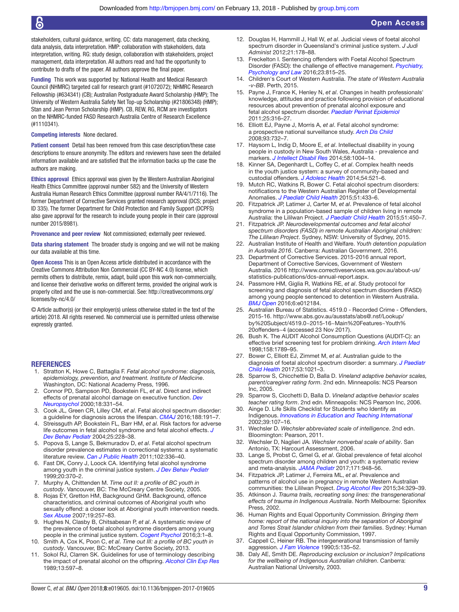stakeholders, cultural guidance, writing. CC: data management, data checking, data analysis, data interpretation. HMP: collaboration with stakeholders, data interpretation, writing. RG: study design, collaboration with stakeholders, project management, data interpretation. All authors read and had the opportunity to contribute to drafts of the paper. All authors approve the final paper.

Funding This work was supported by: National Health and Medical Research Council (NHMRC) targeted call for research grant (#1072072); NHMRC Research Fellowship (#634341) (CB); Australian Postgraduate Award Scholarship (HMP); The University of Western Australia Safety Net Top-up Scholarship (#21806348) (HMP); Stan and Jean Perron Scholarship (HMP). CB, REW, RG, RCM are investigators on the NHMRC-funded FASD Research Australia Centre of Research Excellence (#1110341).

#### Competing interests None declared.

Patient consent Detail has been removed from this case description/these case descriptions to ensure anonymity. The editors and reviewers have seen the detailed information available and are satisfied that the information backs up the case the authors are making.

Ethics approval Ethics approval was given by the Western Australian Aboriginal Health Ethics Committee (approval number 582) and the University of Western Australia Human Research Ethics Committee (approval number RA/4/1/7116). The former Department of Corrective Services granted research approval (DCS; project ID 335). The former Department for Child Protection and Family Support (DCPFS) also gave approval for the research to include young people in their care (approval number 2015/8981).

Provenance and peer review Not commissioned; externally peer reviewed.

Data sharing statement The broader study is ongoing and we will not be making our data available at this time.

Open Access This is an Open Access article distributed in accordance with the Creative Commons Attribution Non Commercial (CC BY-NC 4.0) license, which permits others to distribute, remix, adapt, build upon this work non-commercially, and license their derivative works on different terms, provided the original work is properly cited and the use is non-commercial. See: [http://creativecommons.org/](http://creativecommons.org/licenses/by-nc/4.0/) [licenses/by-nc/4.0/](http://creativecommons.org/licenses/by-nc/4.0/)

© Article author(s) (or their employer(s) unless otherwise stated in the text of the article) 2018. All rights reserved. No commercial use is permitted unless otherwise expressly granted.

#### **REFERENCES**

- <span id="page-8-0"></span>1. Stratton K, Howe C, Battaglia F. *Fetal alcohol syndrome: diagnosis, epidemiology, prevention, and treatment. Institute of Medicine*. Washington, DC: National Academy Press, 1996.
- 2. Connor PD, Sampson PD, Bookstein FL, *et al*. Direct and indirect effects of prenatal alcohol damage on executive function. *[Dev](http://dx.doi.org/10.1207/S1532694204Connor)  [Neuropsychol](http://dx.doi.org/10.1207/S1532694204Connor)* 2000;18:331–54.
- <span id="page-8-25"></span>3. Cook JL, Green CR, Lilley CM, *et al*. Fetal alcohol spectrum disorder: a guideline for diagnosis across the lifespan. *[CMAJ](http://dx.doi.org/10.1503/cmaj.141593)* 2016;188:191–7.
- <span id="page-8-1"></span>4. Streissguth AP, Bookstein FL, Barr HM, *et al*. Risk factors for adverse life outcomes in fetal alcohol syndrome and fetal alcohol effects. *[J](http://dx.doi.org/10.1097/00004703-200408000-00002)  [Dev Behav Pediatr](http://dx.doi.org/10.1097/00004703-200408000-00002)* 2004;25:228–38.
- <span id="page-8-2"></span>5. Popova S, Lange S, Bekmuradov D, *et al*. Fetal alcohol spectrum disorder prevalence estimates in correctional systems: a systematic literature review. *[Can J Public Health](http://www.ncbi.nlm.nih.gov/pubmed/22032097)* 2011;102:336–40.
- <span id="page-8-3"></span>6. Fast DK, Conry J, Loock CA. Identifying fetal alcohol syndrome among youth in the criminal justice system. *[J Dev Behav Pediatr](http://dx.doi.org/10.1097/00004703-199910000-00012)* 1999;20:370–2.
- <span id="page-8-8"></span>7. Murphy A, Chittenden M. *Time out II: a profile of BC youth in custody*. Vancouver, BC: The McCreary Centre Society, 2005.
- <span id="page-8-7"></span>8. Rojas EY, Gretton HM, Background GHM. Background, offence characteristics, and criminal outcomes of Aboriginal youth who sexually offend: a closer look at Aboriginal youth intervention needs. *[Sex Abuse](http://dx.doi.org/10.1177/107906320701900306)* 2007;19:257–83.
- <span id="page-8-4"></span>9. Hughes N, Clasby B, Chitsabesan P, *et al*. A systematic review of the prevalence of foetal alcohol syndrome disorders among young people in the criminal justice system. *[Cogent Psychol](http://dx.doi.org/10.1080/23311908.2016.1214213)* 2016;3:1–8.
- <span id="page-8-5"></span>10. Smith A, Cox K, Poon C, *et al*. *Time out III: a profile of BC youth in custody*. Vancouver, BC: McCreary Centre Society, 2013.
- <span id="page-8-6"></span>11. Sokol RJ, Clarren SK. Guidelines for use of terminology describing the impact of prenatal alcohol on the offspring. *[Alcohol Clin Exp Res](http://dx.doi.org/10.1111/j.1530-0277.1989.tb00384.x)* 1989;13:597–8.
- <span id="page-8-9"></span>12. Douglas H, Hammill J, Hall W, *et al*. Judicial views of foetal alcohol spectrum disorder in Queensland's criminal justice system. *J Judi Administ* 2012;21:178–88.
- <span id="page-8-10"></span>13. Freckelton I. Sentencing offenders with Foetal Alcohol Spectrum Disorder (FASD): the challenge of effective management. *[Psychiatry,](http://dx.doi.org/10.1080/13218719.2016.1258752)  [Psychology and Law](http://dx.doi.org/10.1080/13218719.2016.1258752)* 2016;23:815–25.
- 14. Children's Court of Western Australia. *The state of Western Australia -v-BB*. Perth, 2015.
- <span id="page-8-11"></span>15. Payne J, France K, Henley N, *et al*. Changes in health professionals' knowledge, attitudes and practice following provision of educational resources about prevention of prenatal alcohol exposure and fetal alcohol spectrum disorder. *[Paediatr Perinat Epidemiol](http://dx.doi.org/10.1111/j.1365-3016.2011.01197.x)* 2011;25:316–27.
- 16. Elliott EJ, Payne J, Morris A, *et al*. Fetal alcohol syndrome: a prospective national surveillance study. *[Arch Dis Child](http://dx.doi.org/10.1136/adc.2007.120220)* 2008;93:732–7.
- <span id="page-8-12"></span>17. Haysom L, Indig D, Moore E, *et al*. Intellectual disability in young people in custody in New South Wales, Australia - prevalence and markers. *[J Intellect Disabil Res](http://dx.doi.org/10.1111/jir.12109)* 2014;58:1004–14.
- <span id="page-8-13"></span>18. Kinner SA, Degenhardt L, Coffey C, *et al*. Complex health needs in the youth justice system: a survey of community-based and custodial offenders. *[J Adolesc Health](http://dx.doi.org/10.1016/j.jadohealth.2013.10.003)* 2014;54:521–6.
- <span id="page-8-14"></span>19. Mutch RC, Watkins R, Bower C. Fetal alcohol spectrum disorders: notifications to the Western Australian Register of Developmental Anomalies. *[J Paediatr Child Health](http://dx.doi.org/10.1111/jpc.12746)* 2015;51:433–6.
- 20. Fitzpatrick JP, Latimer J, Carter M, *et al*. Prevalence of fetal alcohol syndrome in a population-based sample of children living in remote Australia: the Lililwan Project. *[J Paediatr Child Health](http://dx.doi.org/10.1111/jpc.12814)* 2015;51:450–7.
- <span id="page-8-26"></span>21. Fitzpatrick JP. *Neurodevelopmental outcomes and fetal alcohol spectrum disorders (FASD) in remote Australian Aboriginal children: The Lililwan Project*. Sydney, NSW: University of Sydney, 2015.
- <span id="page-8-15"></span>22. Australian Institute of Health and Welfare. *Youth detention population in Australia 2016*. Canberra: Australian Government, 2016.
- <span id="page-8-16"></span>23. Department of Corrective Services. 2015-2016 annual report, Department of Corrective Services, Government of Western Australia. 2016 [http://www.correctiveservices.wa.gov.au/about-us/](http://www.correctiveservices.wa.gov.au/about-us/statistics-publications/dcs-annual-report.aspx) [statistics-publications/dcs-annual-report.aspx](http://www.correctiveservices.wa.gov.au/about-us/statistics-publications/dcs-annual-report.aspx).
- <span id="page-8-17"></span>24. Passmore HM, Giglia R, Watkins RE, *et al*. Study protocol for screening and diagnosis of fetal alcohol spectrum disorders (FASD) among young people sentenced to detention in Western Australia. *[BMJ Open](http://dx.doi.org/10.1136/bmjopen-2016-012184)* 2016;6:e012184.
- <span id="page-8-19"></span>25. Australian Bureau of Statistics. 4519.0 - Recorded Crime - Offenders, 2015-16. [http://www.abs.gov.au/ausstats/abs@.nsf/Lookup/](http://www.abs.gov.au/ausstats/abs@.nsf/Lookup/by%20Subject/4519.0~2015-16~Main%20Features~Youth%20offenders~4) [by%20Subject/4519.0~2015-16~Main%20Features~Youth%](http://www.abs.gov.au/ausstats/abs@.nsf/Lookup/by%20Subject/4519.0~2015-16~Main%20Features~Youth%20offenders~4) [20offenders~4](http://www.abs.gov.au/ausstats/abs@.nsf/Lookup/by%20Subject/4519.0~2015-16~Main%20Features~Youth%20offenders~4) (accessed 23 Nov 2017).
- <span id="page-8-23"></span>26. Bush K. The AUDIT Alcohol Consumption Questions (AUDIT-C): an effective brief screening test for problem drinking. *[Arch Intern Med](http://dx.doi.org/10.1001/archinte.158.16.1789)* 1998;158:1789–95.
- <span id="page-8-18"></span>27. Bower C, Elliott EJ, Zimmet M, *et al*. Australian guide to the diagnosis of foetal alcohol spectrum disorder: a summary. *[J Paediatr](http://dx.doi.org/10.1111/jpc.13625)  [Child Health](http://dx.doi.org/10.1111/jpc.13625)* 2017;53:1021–3.
- <span id="page-8-22"></span>28. Sparrow S, Chicchettie D, Balla D. *Vineland adaptive behavior scales, parent/caregiver rating form*. 2nd edn. Minneapolis: NCS Pearson Inc, 2005.
- 29. Sparrow S, Cicchetti D, Balla D. *Vineland adaptive behavior scales teacher rating form*. 2nd edn. Minneapolis: NCS Pearson Inc, 2006.
- <span id="page-8-24"></span>30. Ainge D. Life Skills Checklist for Students who Identify as Indigenous. *[Innovations in Education and Teaching International](http://dx.doi.org/10.1080/14703290252934559)* 2002;39:107–16.
- <span id="page-8-20"></span>31. Wechsler D. *Wechsler abbreviated scale of intelligence*. 2nd edn. Bloomington: Pearson, 2011.
- <span id="page-8-21"></span>32. Wechsler D, Naglieri JA. *Wechsler nonverbal scale of ability*. San Antonio, TX: Harcourt Assessment, 2006.
- <span id="page-8-27"></span>33. Lange S, Probst C, Gmel G, *et al*. Global prevalence of fetal alcohol spectrum disorder among children and youth: a systematic review and meta-analysis. *[JAMA Pediatr](http://dx.doi.org/10.1001/jamapediatrics.2017.1919)* 2017;171:948–56.
- <span id="page-8-28"></span>34. Fitzpatrick JP, Latimer J, Ferreira ML, *et al*. Prevalence and patterns of alcohol use in pregnancy in remote Western Australian communities: the Lililwan Project. *[Drug Alcohol Rev](http://dx.doi.org/10.1111/dar.12232)* 2015;34:329–39.
- <span id="page-8-29"></span>35. Atkinson J. *Trauma trails, recreating song lines: the transgenerational effects of trauma in Indigenous Australia*. North Melbourne: Spionifex Press, 2002.
- 36. Human Rights and Equal Opportunity Commission. *Bringing them home: report of the national inquiry into the separation of Aboriginal and Torres Strait Islander children from their families*. Sydney: Human Rights and Equal Opportunity Commission, 1997.
- 37. Cappell C, Heiner RB. The intergenerational transmission of family aggression. *[J Fam Violence](http://dx.doi.org/10.1007/BF00978516)* 1990;5:135–52.
- 38. Daly AE, Smith DE. *Reproducing exclusion or inclusion? Implications for the wellbeing of Indigenous Australian children*. Canberra: Australian National University, 2003.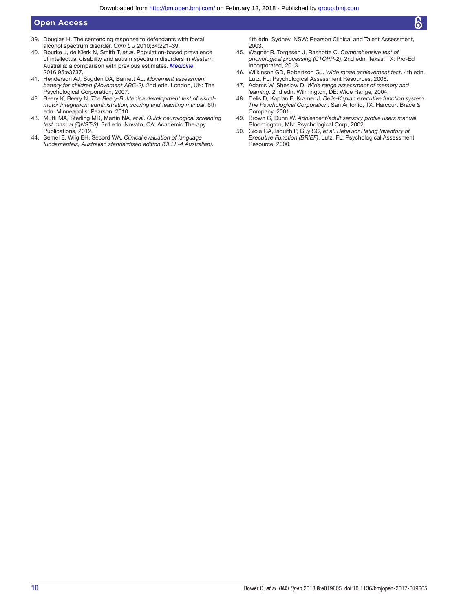- <span id="page-9-10"></span>39. Douglas H. The sentencing response to defendants with foetal alcohol spectrum disorder. *Crim L J* 2010;34:221–39.
- <span id="page-9-11"></span>40. Bourke J, de Klerk N, Smith T, *et al*. Population-based prevalence of intellectual disability and autism spectrum disorders in Western Australia: a comparison with previous estimates. *[Medicine](http://dx.doi.org/10.1097/MD.0000000000003737)* 2016;95:e3737.
- <span id="page-9-0"></span>41. Henderson AJ, Sugden DA, Barnett AL. *Movement assessment battery for children (Movement ABC-2)*. 2nd edn. London, UK: The Psychological Corporation, 2007.
- <span id="page-9-1"></span>42. Beery K, Beery N. *The Beery-Buktenica development test of visualmotor integration: administration, scoring and teaching manual*. 6th edn. Minneapolis: Pearson, 2010.
- <span id="page-9-2"></span>43. Mutti MA, Sterling MD, Martin NA, *et al*. *Quick neurological screening test manual (QNST-3)*. 3rd edn. Novato, CA: Academic Therapy Publications, 2012.
- <span id="page-9-3"></span>44. Semel E, Wiig EH, Secord WA. *Clinical evaluation of language fundamentals, Australian standardised edition (CELF-4 Australian)*.

4th edn. Sydney, NSW: Pearson Clinical and Talent Assessment, 2003.

- <span id="page-9-4"></span>45. Wagner R, Torgesen J, Rashotte C. *Comprehensive test of phonological processing (CTOPP-2)*. 2nd edn. Texas, TX: Pro-Ed Incorporated, 2013.
- <span id="page-9-5"></span>46. Wilkinson GD, Robertson GJ. *Wide range achievement test*. 4th edn. Lutz, FL: Psychological Assessment Resources, 2006.
- <span id="page-9-6"></span>47. Adams W, Sheslow D. *Wide range assessment of memory and learning*. 2nd edn. Wilmington, DE: Wide Range, 2004.
- <span id="page-9-7"></span>48. Delis D, Kaplan E, Kramer J. *Delis-Kaplan executive function system. The Psychological Corporation*. San Antonio, TX: Harcourt Brace & Company, 2001.
- <span id="page-9-8"></span>49. Brown C, Dunn W. *Adolescent/adult sensory profile users manual*. Bloomington, MN: Psychological Corp, 2002.
- <span id="page-9-9"></span>50. Gioia GA, Isquith P, Guy SC, *et al*. *Behavior Rating Inventory of Executive Function (BRIEF)*. Lutz, FL: Psychological Assessment Resource, 2000.